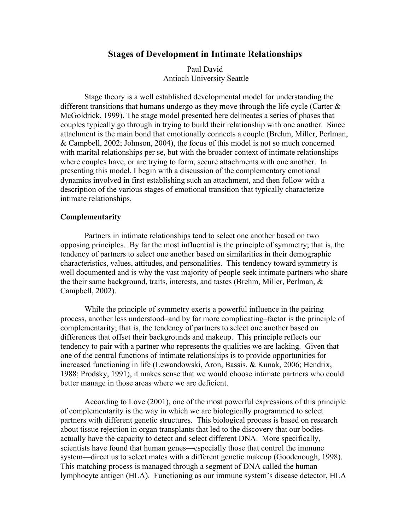# **Stages of Development in Intimate Relationships**

Paul David Antioch University Seattle

Stage theory is a well established developmental model for understanding the different transitions that humans undergo as they move through the life cycle (Carter  $\&$ McGoldrick, 1999). The stage model presented here delineates a series of phases that couples typically go through in trying to build their relationship with one another. Since attachment is the main bond that emotionally connects a couple (Brehm, Miller, Perlman, & Campbell, 2002; Johnson, 2004), the focus of this model is not so much concerned with marital relationships per se, but with the broader context of intimate relationships where couples have, or are trying to form, secure attachments with one another. In presenting this model, I begin with a discussion of the complementary emotional dynamics involved in first establishing such an attachment, and then follow with a description of the various stages of emotional transition that typically characterize intimate relationships.

## **Complementarity**

Partners in intimate relationships tend to select one another based on two opposing principles. By far the most influential is the principle of symmetry; that is, the tendency of partners to select one another based on similarities in their demographic characteristics, values, attitudes, and personalities. This tendency toward symmetry is well documented and is why the vast majority of people seek intimate partners who share the their same background, traits, interests, and tastes (Brehm, Miller, Perlman, & Campbell, 2002).

While the principle of symmetry exerts a powerful influence in the pairing process, another less understood–and by far more complicating–factor is the principle of complementarity; that is, the tendency of partners to select one another based on differences that offset their backgrounds and makeup. This principle reflects our tendency to pair with a partner who represents the qualities we are lacking. Given that one of the central functions of intimate relationships is to provide opportunities for increased functioning in life (Lewandowski, Aron, Bassis, & Kunak, 2006; Hendrix, 1988; Prodsky, 1991), it makes sense that we would choose intimate partners who could better manage in those areas where we are deficient.

According to Love (2001), one of the most powerful expressions of this principle of complementarity is the way in which we are biologically programmed to select partners with different genetic structures. This biological process is based on research about tissue rejection in organ transplants that led to the discovery that our bodies actually have the capacity to detect and select different DNA. More specifically, scientists have found that human genes—especially those that control the immune system—direct us to select mates with a different genetic makeup (Goodenough, 1998). This matching process is managed through a segment of DNA called the human lymphocyte antigen (HLA). Functioning as our immune system's disease detector, HLA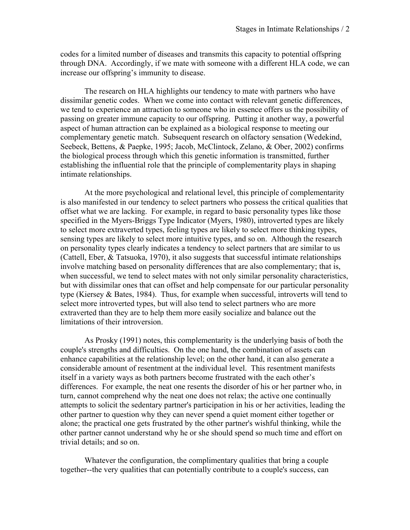codes for a limited number of diseases and transmits this capacity to potential offspring through DNA. Accordingly, if we mate with someone with a different HLA code, we can increase our offspring's immunity to disease.

The research on HLA highlights our tendency to mate with partners who have dissimilar genetic codes. When we come into contact with relevant genetic differences, we tend to experience an attraction to someone who in essence offers us the possibility of passing on greater immune capacity to our offspring. Putting it another way, a powerful aspect of human attraction can be explained as a biological response to meeting our complementary genetic match. Subsequent research on olfactory sensation (Wedekind, Seebeck, Bettens, & Paepke, 1995; Jacob, McClintock, Zelano, & Ober, 2002) confirms the biological process through which this genetic information is transmitted, further establishing the influential role that the principle of complementarity plays in shaping intimate relationships.

At the more psychological and relational level, this principle of complementarity is also manifested in our tendency to select partners who possess the critical qualities that offset what we are lacking. For example, in regard to basic personality types like those specified in the Myers-Briggs Type Indicator (Myers, 1980), introverted types are likely to select more extraverted types, feeling types are likely to select more thinking types, sensing types are likely to select more intuitive types, and so on. Although the research on personality types clearly indicates a tendency to select partners that are similar to us (Cattell, Eber, & Tatsuoka, 1970), it also suggests that successful intimate relationships involve matching based on personality differences that are also complementary; that is, when successful, we tend to select mates with not only similar personality characteristics, but with dissimilar ones that can offset and help compensate for our particular personality type (Kiersey & Bates, 1984). Thus, for example when successful, introverts will tend to select more introverted types, but will also tend to select partners who are more extraverted than they are to help them more easily socialize and balance out the limitations of their introversion.

As Prosky (1991) notes, this complementarity is the underlying basis of both the couple's strengths and difficulties. On the one hand, the combination of assets can enhance capabilities at the relationship level; on the other hand, it can also generate a considerable amount of resentment at the individual level. This resentment manifests itself in a variety ways as both partners become frustrated with the each other's differences. For example, the neat one resents the disorder of his or her partner who, in turn, cannot comprehend why the neat one does not relax; the active one continually attempts to solicit the sedentary partner's participation in his or her activities, leading the other partner to question why they can never spend a quiet moment either together or alone; the practical one gets frustrated by the other partner's wishful thinking, while the other partner cannot understand why he or she should spend so much time and effort on trivial details; and so on.

Whatever the configuration, the complimentary qualities that bring a couple together--the very qualities that can potentially contribute to a couple's success, can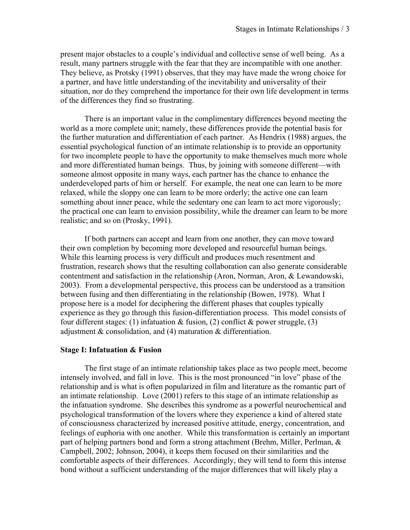present major obstacles to a couple's individual and collective sense of well being. As a result, many partners struggle with the fear that they are incompatible with one another. They believe, as Protsky (1991) observes, that they may have made the wrong choice for a partner, and have little understanding of the inevitability and universality of their situation, nor do they comprehend the importance for their own life development in terms of the differences they find so frustrating.

There is an important value in the complimentary differences beyond meeting the world as a more complete unit; namely, these differences provide the potential basis for the further maturation and differentiation of each partner. As Hendrix (1988) argues, the essential psychological function of an intimate relationship is to provide an opportunity for two incomplete people to have the opportunity to make themselves much more whole and more differentiated human beings. Thus, by joining with someone different—with someone almost opposite in many ways, each partner has the chance to enhance the underdeveloped parts of him or herself. For example, the neat one can learn to be more relaxed, while the sloppy one can learn to be more orderly; the active one can learn something about inner peace, while the sedentary one can learn to act more vigorously; the practical one can learn to envision possibility, while the dreamer can learn to be more realistic; and so on (Prosky, 1991).

If both partners can accept and learn from one another, they can move toward their own completion by becoming more developed and resourceful human beings. While this learning process is very difficult and produces much resentment and frustration, research shows that the resulting collaboration can also generate considerable contentment and satisfaction in the relationship (Aron, Norman, Aron, & Lewandowski, 2003). From a developmental perspective, this process can be understood as a transition between fusing and then differentiating in the relationship (Bowen, 1978). What I propose here is a model for deciphering the different phases that couples typically experience as they go through this fusion-differentiation process. This model consists of four different stages: (1) infatuation  $\&$  fusion, (2) conflict  $\&$  power struggle, (3) adjustment & consolidation, and (4) maturation & differentiation.

## **Stage I: Infatuation & Fusion**

The first stage of an intimate relationship takes place as two people meet, become intensely involved, and fall in love. This is the most pronounced "in love" phase of the relationship and is what is often popularized in film and literature as the romantic part of an intimate relationship. Love (2001) refers to this stage of an intimate relationship as the infatuation syndrome. She describes this syndrome as a powerful neurochemical and psychological transformation of the lovers where they experience a kind of altered state of consciousness characterized by increased positive attitude, energy, concentration, and feelings of euphoria with one another. While this transformation is certainly an important part of helping partners bond and form a strong attachment (Brehm, Miller, Perlman, & Campbell, 2002; Johnson, 2004), it keeps them focused on their similarities and the comfortable aspects of their differences. Accordingly, they will tend to form this intense bond without a sufficient understanding of the major differences that will likely play a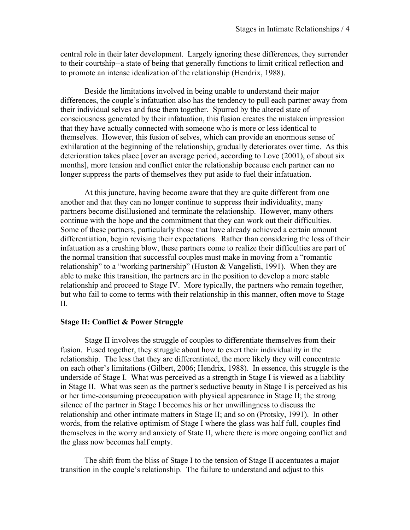central role in their later development. Largely ignoring these differences, they surrender to their courtship--a state of being that generally functions to limit critical reflection and to promote an intense idealization of the relationship (Hendrix, 1988).

Beside the limitations involved in being unable to understand their major differences, the couple's infatuation also has the tendency to pull each partner away from their individual selves and fuse them together. Spurred by the altered state of consciousness generated by their infatuation, this fusion creates the mistaken impression that they have actually connected with someone who is more or less identical to themselves. However, this fusion of selves, which can provide an enormous sense of exhilaration at the beginning of the relationship, gradually deteriorates over time. As this deterioration takes place [over an average period, according to Love (2001), of about six months], more tension and conflict enter the relationship because each partner can no longer suppress the parts of themselves they put aside to fuel their infatuation.

At this juncture, having become aware that they are quite different from one another and that they can no longer continue to suppress their individuality, many partners become disillusioned and terminate the relationship. However, many others continue with the hope and the commitment that they can work out their difficulties. Some of these partners, particularly those that have already achieved a certain amount differentiation, begin revising their expectations. Rather than considering the loss of their infatuation as a crushing blow, these partners come to realize their difficulties are part of the normal transition that successful couples must make in moving from a "romantic relationship" to a "working partnership" (Huston & Vangelisti, 1991). When they are able to make this transition, the partners are in the position to develop a more stable relationship and proceed to Stage IV. More typically, the partners who remain together, but who fail to come to terms with their relationship in this manner, often move to Stage  $II$ .

#### **Stage II: Conflict & Power Struggle**

Stage II involves the struggle of couples to differentiate themselves from their fusion. Fused together, they struggle about how to exert their individuality in the relationship. The less that they are differentiated, the more likely they will concentrate on each other's limitations (Gilbert, 2006; Hendrix, 1988). In essence, this struggle is the underside of Stage I. What was perceived as a strength in Stage I is viewed as a liability in Stage II. What was seen as the partner's seductive beauty in Stage I is perceived as his or her time-consuming preoccupation with physical appearance in Stage II; the strong silence of the partner in Stage I becomes his or her unwillingness to discuss the relationship and other intimate matters in Stage II; and so on (Protsky, 1991). In other words, from the relative optimism of Stage I where the glass was half full, couples find themselves in the worry and anxiety of State II, where there is more ongoing conflict and the glass now becomes half empty.

The shift from the bliss of Stage I to the tension of Stage II accentuates a major transition in the couple's relationship. The failure to understand and adjust to this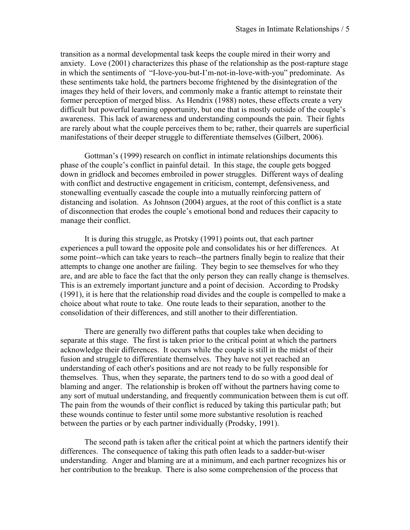transition as a normal developmental task keeps the couple mired in their worry and anxiety. Love (2001) characterizes this phase of the relationship as the post-rapture stage in which the sentiments of "I-love-you-but-I'm-not-in-love-with-you" predominate. As these sentiments take hold, the partners become frightened by the disintegration of the images they held of their lovers, and commonly make a frantic attempt to reinstate their former perception of merged bliss. As Hendrix (1988) notes, these effects create a very difficult but powerful learning opportunity, but one that is mostly outside of the couple's awareness. This lack of awareness and understanding compounds the pain. Their fights are rarely about what the couple perceives them to be; rather, their quarrels are superficial manifestations of their deeper struggle to differentiate themselves (Gilbert, 2006).

Gottman's (1999) research on conflict in intimate relationships documents this phase of the couple's conflict in painful detail. In this stage, the couple gets bogged down in gridlock and becomes embroiled in power struggles. Different ways of dealing with conflict and destructive engagement in criticism, contempt, defensiveness, and stonewalling eventually cascade the couple into a mutually reinforcing pattern of distancing and isolation. As Johnson (2004) argues, at the root of this conflict is a state of disconnection that erodes the couple's emotional bond and reduces their capacity to manage their conflict.

It is during this struggle, as Protsky (1991) points out, that each partner experiences a pull toward the opposite pole and consolidates his or her differences. At some point--which can take years to reach--the partners finally begin to realize that their attempts to change one another are failing. They begin to see themselves for who they are, and are able to face the fact that the only person they can really change is themselves. This is an extremely important juncture and a point of decision. According to Prodsky (1991), it is here that the relationship road divides and the couple is compelled to make a choice about what route to take. One route leads to their separation, another to the consolidation of their differences, and still another to their differentiation.

There are generally two different paths that couples take when deciding to separate at this stage. The first is taken prior to the critical point at which the partners acknowledge their differences. It occurs while the couple is still in the midst of their fusion and struggle to differentiate themselves. They have not yet reached an understanding of each other's positions and are not ready to be fully responsible for themselves. Thus, when they separate, the partners tend to do so with a good deal of blaming and anger. The relationship is broken off without the partners having come to any sort of mutual understanding, and frequently communication between them is cut off. The pain from the wounds of their conflict is reduced by taking this particular path; but these wounds continue to fester until some more substantive resolution is reached between the parties or by each partner individually (Prodsky, 1991).

The second path is taken after the critical point at which the partners identify their differences. The consequence of taking this path often leads to a sadder-but-wiser understanding. Anger and blaming are at a minimum, and each partner recognizes his or her contribution to the breakup. There is also some comprehension of the process that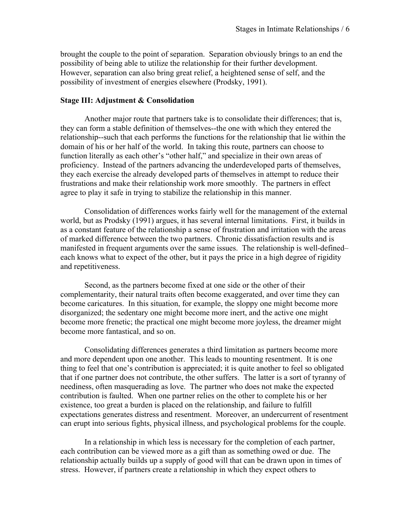brought the couple to the point of separation. Separation obviously brings to an end the possibility of being able to utilize the relationship for their further development. However, separation can also bring great relief, a heightened sense of self, and the possibility of investment of energies elsewhere (Prodsky, 1991).

# **Stage III: Adjustment & Consolidation**

Another major route that partners take is to consolidate their differences; that is, they can form a stable definition of themselves--the one with which they entered the relationship--such that each performs the functions for the relationship that lie within the domain of his or her half of the world. In taking this route, partners can choose to function literally as each other's "other half," and specialize in their own areas of proficiency. Instead of the partners advancing the underdeveloped parts of themselves, they each exercise the already developed parts of themselves in attempt to reduce their frustrations and make their relationship work more smoothly. The partners in effect agree to play it safe in trying to stabilize the relationship in this manner.

Consolidation of differences works fairly well for the management of the external world, but as Prodsky (1991) argues, it has several internal limitations. First, it builds in as a constant feature of the relationship a sense of frustration and irritation with the areas of marked difference between the two partners. Chronic dissatisfaction results and is manifested in frequent arguments over the same issues. The relationship is well-defined– each knows what to expect of the other, but it pays the price in a high degree of rigidity and repetitiveness.

Second, as the partners become fixed at one side or the other of their complementarity, their natural traits often become exaggerated, and over time they can become caricatures. In this situation, for example, the sloppy one might become more disorganized; the sedentary one might become more inert, and the active one might become more frenetic; the practical one might become more joyless, the dreamer might become more fantastical, and so on.

Consolidating differences generates a third limitation as partners become more and more dependent upon one another. This leads to mounting resentment. It is one thing to feel that one's contribution is appreciated; it is quite another to feel so obligated that if one partner does not contribute, the other suffers. The latter is a sort of tyranny of neediness, often masquerading as love. The partner who does not make the expected contribution is faulted. When one partner relies on the other to complete his or her existence, too great a burden is placed on the relationship, and failure to fulfill expectations generates distress and resentment. Moreover, an undercurrent of resentment can erupt into serious fights, physical illness, and psychological problems for the couple.

In a relationship in which less is necessary for the completion of each partner, each contribution can be viewed more as a gift than as something owed or due. The relationship actually builds up a supply of good will that can be drawn upon in times of stress. However, if partners create a relationship in which they expect others to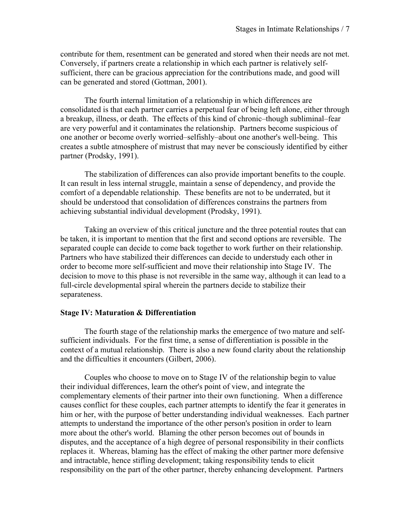contribute for them, resentment can be generated and stored when their needs are not met. Conversely, if partners create a relationship in which each partner is relatively selfsufficient, there can be gracious appreciation for the contributions made, and good will can be generated and stored (Gottman, 2001).

The fourth internal limitation of a relationship in which differences are consolidated is that each partner carries a perpetual fear of being left alone, either through a breakup, illness, or death. The effects of this kind of chronic–though subliminal–fear are very powerful and it contaminates the relationship. Partners become suspicious of one another or become overly worried–selfishly–about one another's well-being. This creates a subtle atmosphere of mistrust that may never be consciously identified by either partner (Prodsky, 1991).

The stabilization of differences can also provide important benefits to the couple. It can result in less internal struggle, maintain a sense of dependency, and provide the comfort of a dependable relationship. These benefits are not to be underrated, but it should be understood that consolidation of differences constrains the partners from achieving substantial individual development (Prodsky, 1991).

Taking an overview of this critical juncture and the three potential routes that can be taken, it is important to mention that the first and second options are reversible. The separated couple can decide to come back together to work further on their relationship. Partners who have stabilized their differences can decide to understudy each other in order to become more self-sufficient and move their relationship into Stage IV. The decision to move to this phase is not reversible in the same way, although it can lead to a full-circle developmental spiral wherein the partners decide to stabilize their separateness.

#### **Stage IV: Maturation & Differentiation**

The fourth stage of the relationship marks the emergence of two mature and selfsufficient individuals. For the first time, a sense of differentiation is possible in the context of a mutual relationship. There is also a new found clarity about the relationship and the difficulties it encounters (Gilbert, 2006).

Couples who choose to move on to Stage IV of the relationship begin to value their individual differences, learn the other's point of view, and integrate the complementary elements of their partner into their own functioning. When a difference causes conflict for these couples, each partner attempts to identify the fear it generates in him or her, with the purpose of better understanding individual weaknesses. Each partner attempts to understand the importance of the other person's position in order to learn more about the other's world. Blaming the other person becomes out of bounds in disputes, and the acceptance of a high degree of personal responsibility in their conflicts replaces it. Whereas, blaming has the effect of making the other partner more defensive and intractable, hence stifling development; taking responsibility tends to elicit responsibility on the part of the other partner, thereby enhancing development. Partners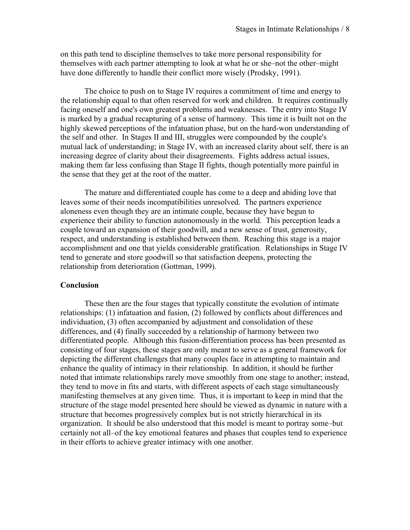on this path tend to discipline themselves to take more personal responsibility for themselves with each partner attempting to look at what he or she–not the other–might have done differently to handle their conflict more wisely (Prodsky, 1991).

The choice to push on to Stage IV requires a commitment of time and energy to the relationship equal to that often reserved for work and children. It requires continually facing oneself and one's own greatest problems and weaknesses. The entry into Stage IV is marked by a gradual recapturing of a sense of harmony. This time it is built not on the highly skewed perceptions of the infatuation phase, but on the hard-won understanding of the self and other. In Stages II and III, struggles were compounded by the couple's mutual lack of understanding; in Stage IV, with an increased clarity about self, there is an increasing degree of clarity about their disagreements. Fights address actual issues, making them far less confusing than Stage II fights, though potentially more painful in the sense that they get at the root of the matter.

The mature and differentiated couple has come to a deep and abiding love that leaves some of their needs incompatibilities unresolved. The partners experience aloneness even though they are an intimate couple, because they have begun to experience their ability to function autonomously in the world. This perception leads a couple toward an expansion of their goodwill, and a new sense of trust, generosity, respect, and understanding is established between them. Reaching this stage is a major accomplishment and one that yields considerable gratification. Relationships in Stage IV tend to generate and store goodwill so that satisfaction deepens, protecting the relationship from deterioration (Gottman, 1999).

## **Conclusion**

These then are the four stages that typically constitute the evolution of intimate relationships: (1) infatuation and fusion, (2) followed by conflicts about differences and individuation, (3) often accompanied by adjustment and consolidation of these differences, and (4) finally succeeded by a relationship of harmony between two differentiated people. Although this fusion-differentiation process has been presented as consisting of four stages, these stages are only meant to serve as a general framework for depicting the different challenges that many couples face in attempting to maintain and enhance the quality of intimacy in their relationship. In addition, it should be further noted that intimate relationships rarely move smoothly from one stage to another; instead, they tend to move in fits and starts, with different aspects of each stage simultaneously manifesting themselves at any given time. Thus, it is important to keep in mind that the structure of the stage model presented here should be viewed as dynamic in nature with a structure that becomes progressively complex but is not strictly hierarchical in its organization. It should be also understood that this model is meant to portray some–but certainly not all–of the key emotional features and phases that couples tend to experience in their efforts to achieve greater intimacy with one another.